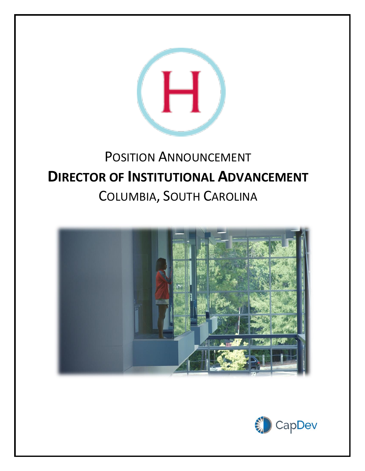

# POSITION ANNOUNCEMENT **DIRECTOR OF INSTITUTIONAL ADVANCEMENT** COLUMBIA, SOUTH CAROLINA



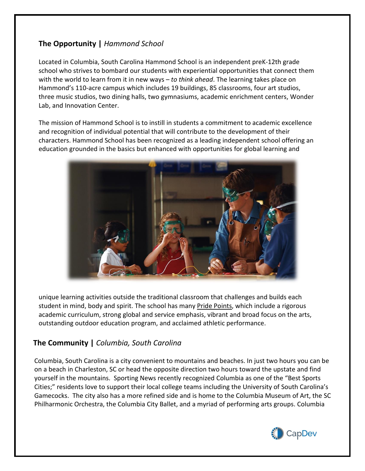## **The Opportunity |** *Hammond School*

Located in Columbia, South Carolina Hammond School is an independent preK-12th grade school who strives to bombard our students with experiential opportunities that connect them with the world to learn from it in new ways – *to think ahead*. The learning takes place on Hammond's 110-acre campus which includes 19 buildings, 85 classrooms, four art studios, three music studios, two dining halls, two gymnasiums, academic enrichment centers, Wonder Lab, and Innovation Center.

The mission of Hammond School is to instill in students a commitment to academic excellence and recognition of individual potential that will contribute to the development of their characters. Hammond School has been recognized as a leading independent school offering an education grounded in the basics but enhanced with opportunities for global learning and



unique learning activities outside the traditional classroom that challenges and builds each student in mind, body and spirit. The school has many Pride [Points,](https://www.hammondschool.org/about/mission-and-philosophy) which include a rigorous academic curriculum, strong global and service emphasis, vibrant and broad focus on the arts, outstanding outdoor education program, and acclaimed athletic performance.

#### **The Community |** *Columbia, South Carolina*

Columbia, South Carolina is a city convenient to mountains and beaches. In just two hours you can be on a beach in Charleston, SC or head the opposite direction two hours toward the upstate and find yourself in the mountains. Sporting News recently recognized Columbia as one of the "Best Sports Cities;" residents love to support their local college teams including the University of South Carolina's Gamecocks. The city also has a more refined side and is home to the Columbia Museum of Art, the SC Philharmonic Orchestra, the Columbia City Ballet, and a myriad of performing arts groups. Columbia

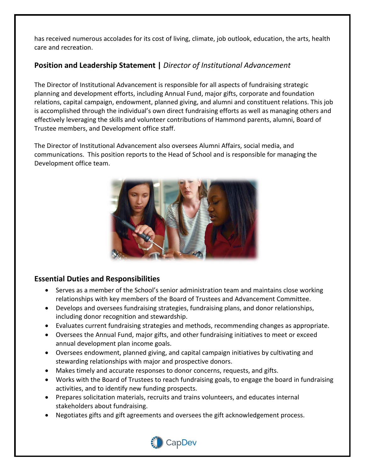has received numerous accolades for its cost of living, climate, job outlook, education, the arts, health care and recreation.

## **Position and Leadership Statement |** *Director of Institutional Advancement*

The Director of Institutional Advancement is responsible for all aspects of fundraising strategic planning and development efforts, including Annual Fund, major gifts, corporate and foundation relations, capital campaign, endowment, planned giving, and alumni and constituent relations. This job is accomplished through the individual's own direct fundraising efforts as well as managing others and effectively leveraging the skills and volunteer contributions of Hammond parents, alumni, Board of Trustee members, and Development office staff.

The Director of Institutional Advancement also oversees Alumni Affairs, social media, and communications. This position reports to the Head of School and is responsible for managing the Development office team.



#### **Essential Duties and Responsibilities**

- Serves as a member of the School's senior administration team and maintains close working relationships with key members of the Board of Trustees and Advancement Committee.
- Develops and oversees fundraising strategies, fundraising plans, and donor relationships, including donor recognition and stewardship.
- Evaluates current fundraising strategies and methods, recommending changes as appropriate.
- Oversees the Annual Fund, major gifts, and other fundraising initiatives to meet or exceed annual development plan income goals.
- Oversees endowment, planned giving, and capital campaign initiatives by cultivating and stewarding relationships with major and prospective donors.
- Makes timely and accurate responses to donor concerns, requests, and gifts.
- Works with the Board of Trustees to reach fundraising goals, to engage the board in fundraising activities, and to identify new funding prospects.
- Prepares solicitation materials, recruits and trains volunteers, and educates internal stakeholders about fundraising.
- Negotiates gifts and gift agreements and oversees the gift acknowledgement process.